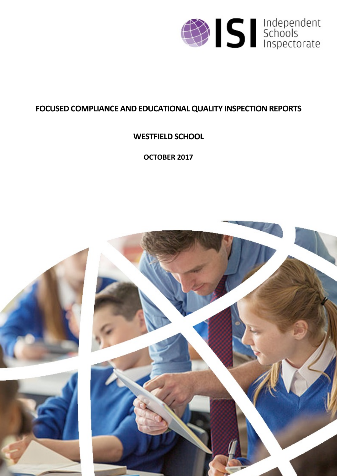

# **FOCUSED COMPLIANCE AND EDUCATIONALQUALITY INSPECTIONREPORTS**

# **WESTFIELD SCHOOL**

**OCTOBER 2017**

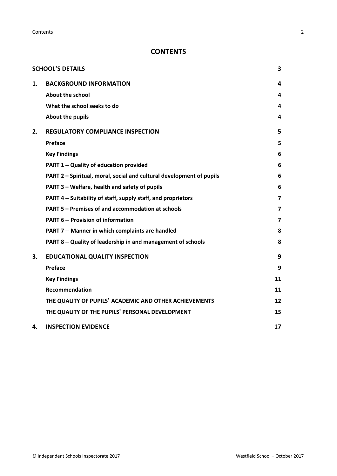**Contents** 2

# **CONTENTS**

|    | <b>SCHOOL'S DETAILS</b>                                              | 3  |
|----|----------------------------------------------------------------------|----|
| 1. | <b>BACKGROUND INFORMATION</b>                                        | 4  |
|    | About the school                                                     | 4  |
|    | What the school seeks to do                                          | 4  |
|    | About the pupils                                                     | 4  |
| 2. | <b>REGULATORY COMPLIANCE INSPECTION</b>                              | 5  |
|    | <b>Preface</b>                                                       | 5  |
|    | <b>Key Findings</b>                                                  | 6  |
|    | <b>PART 1 - Quality of education provided</b>                        | 6  |
|    | PART 2 - Spiritual, moral, social and cultural development of pupils | 6  |
|    | PART 3 - Welfare, health and safety of pupils                        | 6  |
|    | PART 4 - Suitability of staff, supply staff, and proprietors         | 7  |
|    | PART 5 - Premises of and accommodation at schools                    | 7  |
|    | <b>PART 6 - Provision of information</b>                             | 7  |
|    | PART 7 - Manner in which complaints are handled                      | 8  |
|    | PART 8 - Quality of leadership in and management of schools          | 8  |
| 3. | <b>EDUCATIONAL QUALITY INSPECTION</b>                                | 9  |
|    | <b>Preface</b>                                                       | 9  |
|    | <b>Key Findings</b>                                                  | 11 |
|    | Recommendation                                                       | 11 |
|    | THE QUALITY OF PUPILS' ACADEMIC AND OTHER ACHIEVEMENTS               | 12 |
|    | THE QUALITY OF THE PUPILS' PERSONAL DEVELOPMENT                      | 15 |
| 4. | <b>INSPECTION EVIDENCE</b>                                           | 17 |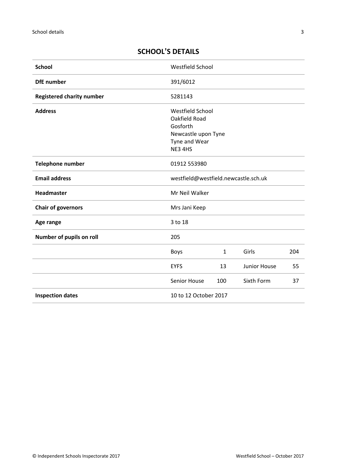# <span id="page-2-0"></span>**SCHOOL'S DETAILS**

| <b>School</b>                    | Westfield School                                                                                 |              |              |     |
|----------------------------------|--------------------------------------------------------------------------------------------------|--------------|--------------|-----|
| <b>DfE</b> number                | 391/6012                                                                                         |              |              |     |
| <b>Registered charity number</b> | 5281143                                                                                          |              |              |     |
| <b>Address</b>                   | Westfield School<br>Oakfield Road<br>Gosforth<br>Newcastle upon Tyne<br>Tyne and Wear<br>NE3 4HS |              |              |     |
| Telephone number                 | 01912 553980                                                                                     |              |              |     |
| <b>Email address</b>             | westfield@westfield.newcastle.sch.uk                                                             |              |              |     |
| Headmaster                       | Mr Neil Walker                                                                                   |              |              |     |
| <b>Chair of governors</b>        | Mrs Jani Keep                                                                                    |              |              |     |
| Age range                        | 3 to 18                                                                                          |              |              |     |
| Number of pupils on roll         | 205                                                                                              |              |              |     |
|                                  | <b>Boys</b>                                                                                      | $\mathbf{1}$ | Girls        | 204 |
|                                  | <b>EYFS</b>                                                                                      | 13           | Junior House | 55  |
|                                  | Senior House                                                                                     | 100          | Sixth Form   | 37  |
| <b>Inspection dates</b>          | 10 to 12 October 2017                                                                            |              |              |     |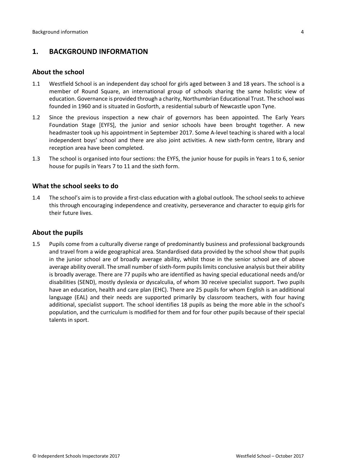# <span id="page-3-0"></span>**1. BACKGROUND INFORMATION**

#### <span id="page-3-1"></span>**About the school**

- 1.1 Westfield School is an independent day school for girls aged between 3 and 18 years. The school is a member of Round Square, an international group of schools sharing the same holistic view of education. Governance is provided through a charity, Northumbrian Educational Trust. The school was founded in 1960 and is situated in Gosforth, a residential suburb of Newcastle upon Tyne.
- 1.2 Since the previous inspection a new chair of governors has been appointed. The Early Years Foundation Stage [EYFS], the junior and senior schools have been brought together. A new headmaster took up his appointment in September 2017. Some A-level teaching is shared with a local independent boys' school and there are also joint activities. A new sixth-form centre, library and reception area have been completed.
- 1.3 The school is organised into four sections: the EYFS, the junior house for pupils in Years 1 to 6, senior house for pupils in Years 7 to 11 and the sixth form.

#### <span id="page-3-2"></span>**What the school seeks to do**

1.4 The school's aim is to provide a first-class education with a global outlook. The school seeks to achieve this through encouraging independence and creativity, perseverance and character to equip girls for their future lives.

### <span id="page-3-3"></span>**About the pupils**

1.5 Pupils come from a culturally diverse range of predominantly business and professional backgrounds and travel from a wide geographical area. Standardised data provided by the school show that pupils in the junior school are of broadly average ability, whilst those in the senior school are of above average ability overall. The small number of sixth-form pupils limits conclusive analysis but their ability is broadly average. There are 77 pupils who are identified as having special educational needs and/or disabilities (SEND), mostly dyslexia or dyscalculia, of whom 30 receive specialist support. Two pupils have an education, health and care plan (EHC). There are 25 pupils for whom English is an additional language (EAL) and their needs are supported primarily by classroom teachers, with four having additional, specialist support. The school identifies 18 pupils as being the more able in the school's population, and the curriculum is modified for them and for four other pupils because of their special talents in sport.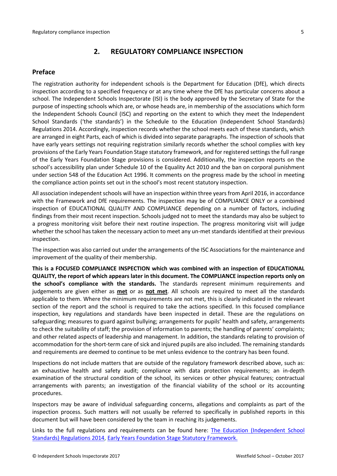## <span id="page-4-0"></span>**2. REGULATORY COMPLIANCE INSPECTION**

#### <span id="page-4-1"></span>**Preface**

The registration authority for independent schools is the Department for Education (DfE), which directs inspection according to a specified frequency or at any time where the DfE has particular concerns about a school. The Independent Schools Inspectorate (ISI) is the body approved by the Secretary of State for the purpose of inspecting schools which are, or whose heads are, in membership of the associations which form the Independent Schools Council (ISC) and reporting on the extent to which they meet the Independent School Standards ('the standards') in the Schedule to the Education (Independent School Standards) Regulations 2014. Accordingly, inspection records whether the school meets each of these standards, which are arranged in eight Parts, each of which is divided into separate paragraphs. The inspection of schools that have early years settings not requiring registration similarly records whether the school complies with key provisions of the Early Years Foundation Stage statutory framework, and for registered settings the full range of the Early Years Foundation Stage provisions is considered. Additionally, the inspection reports on the school's accessibility plan under Schedule 10 of the Equality Act 2010 and the ban on corporal punishment under section 548 of the Education Act 1996. It comments on the progress made by the school in meeting the compliance action points set out in the school's most recent statutory inspection.

All association independent schools will have an inspection within three yearsfrom April 2016, in accordance with the Framework and DfE requirements. The inspection may be of COMPLIANCE ONLY or a combined inspection of EDUCATIONAL QUALITY AND COMPLIANCE depending on a number of factors, including findings from their most recent inspection. Schools judged not to meet the standards may also be subject to a progress monitoring visit before their next routine inspection. The progress monitoring visit will judge whether the school has taken the necessary action to meet any un-met standards identified at their previous inspection.

The inspection was also carried out under the arrangements of the ISC Associations for the maintenance and improvement of the quality of their membership.

**This is a FOCUSED COMPLIANCE INSPECTION which was combined with an inspection of EDUCATIONAL QUALITY, the report of which appears later in this document. The COMPLIANCE inspection reports only on the school's compliance with the standards.** The standards represent minimum requirements and judgements are given either as **met** or as **not met**. All schools are required to meet all the standards applicable to them. Where the minimum requirements are not met, this is clearly indicated in the relevant section of the report and the school is required to take the actions specified. In this focused compliance inspection, key regulations and standards have been inspected in detail. These are the regulations on safeguarding; measures to guard against bullying; arrangements for pupils' health and safety, arrangements to check the suitability of staff; the provision of information to parents; the handling of parents' complaints; and other related aspects of leadership and management. In addition, the standards relating to provision of accommodation for the short-term care of sick and injured pupils are also included. The remaining standards and requirements are deemed to continue to be met unless evidence to the contrary has been found.

Inspections do not include matters that are outside of the regulatory framework described above, such as: an exhaustive health and safety audit; compliance with data protection requirements; an in-depth examination of the structural condition of the school, its services or other physical features; contractual arrangements with parents; an investigation of the financial viability of the school or its accounting procedures.

Inspectors may be aware of individual safeguarding concerns, allegations and complaints as part of the inspection process. Such matters will not usually be referred to specifically in published reports in this document but will have been considered by the team in reaching its judgements.

Links to the full regulations and requirements can be found here: The Education [\(Independent](http://www.legislation.gov.uk/uksi/2014/3283/contents/made) School Standards) [Regulations](http://www.legislation.gov.uk/uksi/2014/3283/contents/made) 2014, Early Years Foundation Stage Statutory [Framework.](https://www.gov.uk/government/publications/early-years-foundation-stage-framework--2)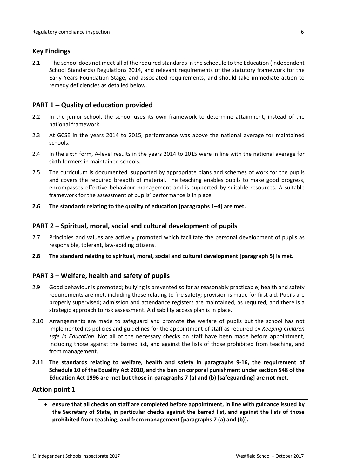## <span id="page-5-0"></span>**Key Findings**

2.1 The school does not meet all of the required standards in the schedule to the Education (Independent School Standards) Regulations 2014, and relevant requirements of the statutory framework for the Early Years Foundation Stage, and associated requirements, and should take immediate action to remedy deficiencies as detailed below.

# <span id="page-5-1"></span>**PART 1 – Quality of education provided**

- 2.2 In the junior school, the school uses its own framework to determine attainment, instead of the national framework.
- 2.3 At GCSE in the years 2014 to 2015, performance was above the national average for maintained schools.
- 2.4 In the sixth form, A-level results in the years 2014 to 2015 were in line with the national average for sixth formers in maintained schools.
- 2.5 The curriculum is documented, supported by appropriate plans and schemes of work for the pupils and covers the required breadth of material. The teaching enables pupils to make good progress, encompasses effective behaviour management and is supported by suitable resources. A suitable framework for the assessment of pupils' performance is in place.
- **2.6 The standards relating to the quality of education [paragraphs 1–4] are met.**

## <span id="page-5-2"></span>**PART 2 – Spiritual, moral, social and cultural development of pupils**

- 2.7 Principles and values are actively promoted which facilitate the personal development of pupils as responsible, tolerant, law-abiding citizens.
- **2.8 The standard relating to spiritual, moral, social and cultural development [paragraph 5] is met.**

# <span id="page-5-3"></span>**PART 3 – Welfare, health and safety of pupils**

- 2.9 Good behaviour is promoted; bullying is prevented so far as reasonably practicable; health and safety requirements are met, including those relating to fire safety; provision is made for first aid. Pupils are properly supervised; admission and attendance registers are maintained, as required, and there is a strategic approach to risk assessment. A disability access plan is in place.
- 2.10 Arrangements are made to safeguard and promote the welfare of pupils but the school has not implemented its policies and guidelines for the appointment of staff as required by *Keeping Children safe in Education*. Not all of the necessary checks on staff have been made before appointment, including those against the barred list, and against the lists of those prohibited from teaching, and from management.
- **2.11 The standards relating to welfare, health and safety in paragraphs 9-16, the requirement of Schedule 10 of the Equality Act 2010, and the ban on corporal punishment under section 548 of the Education Act 1996 are met but those in paragraphs 7 (a) and (b) [safeguarding] are not met.**

#### **Action point 1**

 **ensure that all checks on staff are completed before appointment, in line with guidance issued by the Secretary of State, in particular checks against the barred list, and against the lists of those prohibited from teaching, and from management [paragraphs 7 (a) and (b)].**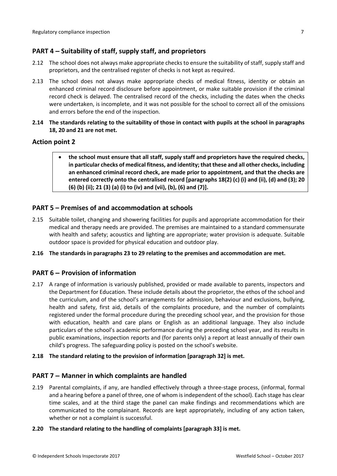# <span id="page-6-0"></span>**PART 4 – Suitability of staff, supply staff, and proprietors**

- 2.12 The school does not always make appropriate checks to ensure the suitability of staff, supply staff and proprietors, and the centralised register of checks is not kept as required.
- 2.13 The school does not always make appropriate checks of medical fitness, identity or obtain an enhanced criminal record disclosure before appointment, or make suitable provision if the criminal record check is delayed. The centralised record of the checks, including the dates when the checks were undertaken, is incomplete, and it was not possible for the school to correct all of the omissions and errors before the end of the inspection.
- 2.14 The standards relating to the suitability of those in contact with pupils at the school in paragraphs **18, 20 and 21 are not met.**

## **Action point 2**

 **the school must ensure that all staff, supply staff and proprietors have the required checks, in particular checks of medical fitness, and identity; that these and all other checks, including an enhanced criminal record check, are made prior to appointment, and that the checks are entered correctly onto the centralised record [paragraphs 18(2) (c) (i) and (ii), (d) and (3); 20 (6) (b) (ii); 21 (3) (a) (i) to (iv) and (vii), (b), (6) and (7)].**

## <span id="page-6-1"></span>**PART 5 – Premises of and accommodation at schools**

- 2.15 Suitable toilet, changing and showering facilities for pupils and appropriate accommodation for their medical and therapy needs are provided. The premises are maintained to a standard commensurate with health and safety; acoustics and lighting are appropriate; water provision is adequate. Suitable outdoor space is provided for physical education and outdoor play.
- **2.16 The standards in paragraphs 23 to 29 relating to the premises and accommodation are met.**

# <span id="page-6-2"></span>**PART 6 – Provision of information**

2.17 A range of information is variously published, provided or made available to parents, inspectors and the Department for Education. These include details about the proprietor, the ethos of the school and the curriculum, and of the school's arrangements for admission, behaviour and exclusions, bullying, health and safety, first aid, details of the complaints procedure, and the number of complaints registered under the formal procedure during the preceding school year, and the provision for those with education, health and care plans or English as an additional language. They also include particulars of the school's academic performance during the preceding school year, and its results in public examinations, inspection reports and (for parents only) a report at least annually of their own child's progress. The safeguarding policy is posted on the school's website.

#### **2.18 The standard relating to the provision of information [paragraph 32] is met.**

## <span id="page-6-3"></span>**PART 7 – Manner in which complaints are handled**

2.19 Parental complaints, if any, are handled effectively through a three-stage process, (informal, formal and a hearing before a panel of three, one of whom is independent of the school). Each stage has clear time scales, and at the third stage the panel can make findings and recommendations which are communicated to the complainant. Records are kept appropriately, including of any action taken, whether or not a complaint is successful.

#### **2.20 The standard relating to the handling of complaints [paragraph 33] is met.**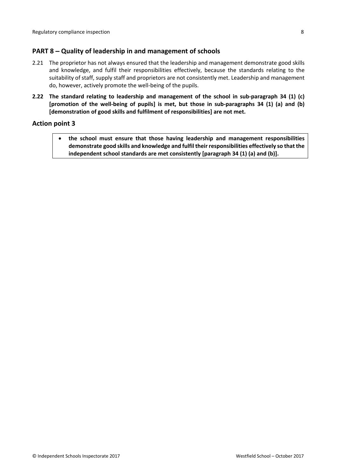## <span id="page-7-0"></span>**PART 8 – Quality of leadership in and management of schools**

- 2.21 The proprietor has not always ensured that the leadership and management demonstrate good skills and knowledge, and fulfil their responsibilities effectively, because the standards relating to the suitability of staff, supply staff and proprietors are not consistently met. Leadership and management do, however, actively promote the well-being of the pupils.
- **2.22 The standard relating to leadership and management of the school in sub-paragraph 34 (1) (c) [promotion of the well-being of pupils] is met, but those in sub-paragraphs 34 (1) (a) and (b) [demonstration of good skills and fulfilment of responsibilities] are not met.**

### **Action point 3**

 **the school must ensure that those having leadership and management responsibilities demonstrate good skills and knowledge and fulfil their responsibilities effectively so that the independent school standards are met consistently [paragraph 34 (1) (a) and (b)].**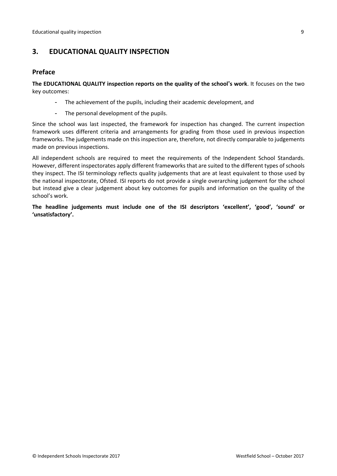# <span id="page-8-0"></span>**3. EDUCATIONAL QUALITY INSPECTION**

## <span id="page-8-1"></span>**Preface**

**The EDUCATIONAL QUALITY inspection reports on the quality of the school's work**. It focuses on the two key outcomes:

- The achievement of the pupils, including their academic development, and
- The personal development of the pupils.

Since the school was last inspected, the framework for inspection has changed. The current inspection framework uses different criteria and arrangements for grading from those used in previous inspection frameworks. The judgements made on this inspection are, therefore, not directly comparable to judgements made on previous inspections.

All independent schools are required to meet the requirements of the Independent School Standards. However, different inspectorates apply different frameworks that are suited to the different types of schools they inspect. The ISI terminology reflects quality judgements that are at least equivalent to those used by the national inspectorate, Ofsted. ISI reports do not provide a single overarching judgement for the school but instead give a clear judgement about key outcomes for pupils and information on the quality of the school's work.

**The headline judgements must include one of the ISI descriptors 'excellent', 'good', 'sound' or 'unsatisfactory'.**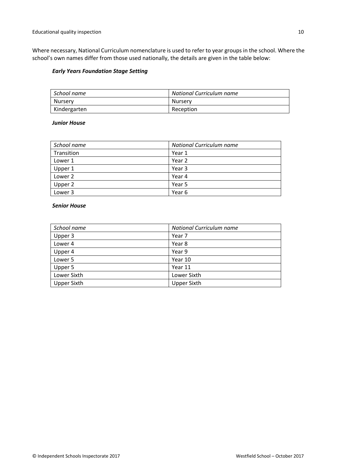Where necessary, National Curriculum nomenclature is used to refer to year groups in the school. Where the school's own names differ from those used nationally, the details are given in the table below:

#### *Early Years Foundation Stage Setting*

| $\mid$ School name | National Curriculum name |
|--------------------|--------------------------|
| Nursery            | Nurserv                  |
| Kindergarten       | Reception                |

#### *Junior House*

| School name | <b>National Curriculum name</b> |  |
|-------------|---------------------------------|--|
| Transition  | Year 1                          |  |
| Lower 1     | Year 2                          |  |
| Upper 1     | Year 3                          |  |
| Lower 2     | Year 4                          |  |
| Upper 2     | Year 5                          |  |
| Lower 3     | Year 6                          |  |

#### *Senior House*

| School name        | National Curriculum name |  |
|--------------------|--------------------------|--|
| Upper 3            | Year 7                   |  |
| Lower 4            | Year 8                   |  |
| Upper 4            | Year 9                   |  |
| Lower 5            | Year 10                  |  |
| Upper 5            | Year 11                  |  |
| Lower Sixth        | Lower Sixth              |  |
| <b>Upper Sixth</b> | <b>Upper Sixth</b>       |  |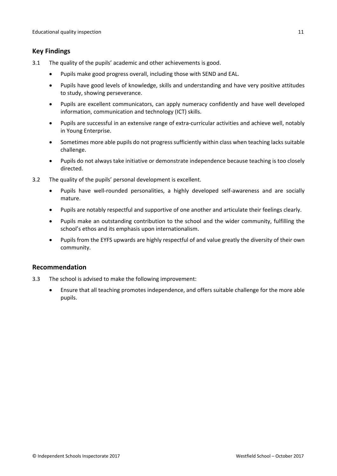# <span id="page-10-0"></span>**Key Findings**

- 3.1 The quality of the pupils' academic and other achievements is good.
	- Pupils make good progress overall, including those with SEND and EAL.
	- Pupils have good levels of knowledge, skills and understanding and have very positive attitudes to study, showing perseverance.
	- Pupils are excellent communicators, can apply numeracy confidently and have well developed information, communication and technology (ICT) skills.
	- Pupils are successful in an extensive range of extra-curricular activities and achieve well, notably in Young Enterprise.
	- Sometimes more able pupils do not progress sufficiently within class when teaching lacks suitable challenge.
	- Pupils do not always take initiative or demonstrate independence because teaching is too closely directed.
- 3.2 The quality of the pupils' personal development is excellent.
	- Pupils have well-rounded personalities, a highly developed self-awareness and are socially mature.
	- Pupils are notably respectful and supportive of one another and articulate their feelings clearly.
	- Pupils make an outstanding contribution to the school and the wider community, fulfilling the school's ethos and its emphasis upon internationalism.
	- Pupils from the EYFS upwards are highly respectful of and value greatly the diversity of their own community.

# <span id="page-10-1"></span>**Recommendation**

- 3.3 The school is advised to make the following improvement:
	- Ensure that all teaching promotes independence, and offers suitable challenge for the more able pupils.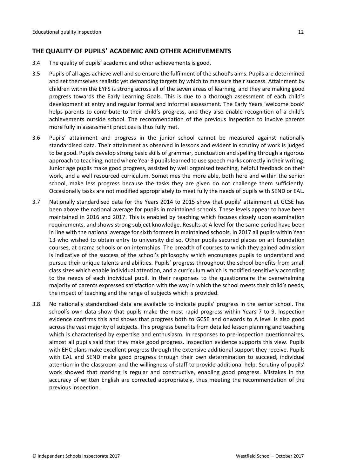## <span id="page-11-0"></span>**THE QUALITY OF PUPILS' ACADEMIC AND OTHER ACHIEVEMENTS**

- 3.4 The quality of pupils' academic and other achievements is good.
- 3.5 Pupils of all ages achieve well and so ensure the fulfilment of the school's aims. Pupils are determined and set themselves realistic yet demanding targets by which to measure their success. Attainment by children within the EYFS is strong across all of the seven areas of learning, and they are making good progress towards the Early Learning Goals. This is due to a thorough assessment of each child's development at entry and regular formal and informal assessment. The Early Years 'welcome book' helps parents to contribute to their child's progress, and they also enable recognition of a child's achievements outside school. The recommendation of the previous inspection to involve parents more fully in assessment practices is thus fully met.
- 3.6 Pupils' attainment and progress in the junior school cannot be measured against nationally standardised data. Their attainment as observed in lessons and evident in scrutiny of work is judged to be good. Pupils develop strong basic skills of grammar, punctuation and spelling through a rigorous approach to teaching, noted where Year 3 pupils learned to use speech marks correctly in their writing. Junior age pupils make good progress, assisted by well organised teaching, helpful feedback on their work, and a well resourced curriculum. Sometimes the more able, both here and within the senior school, make less progress because the tasks they are given do not challenge them sufficiently. Occasionally tasks are not modified appropriately to meet fully the needs of pupils with SEND or EAL.
- 3.7 Nationally standardised data for the Years 2014 to 2015 show that pupils' attainment at GCSE has been above the national average for pupils in maintained schools. These levels appear to have been maintained in 2016 and 2017. This is enabled by teaching which focuses closely upon examination requirements, and shows strong subject knowledge. Results at A level for the same period have been in line with the national average for sixth formers in maintained schools. In 2017 all pupils within Year 13 who wished to obtain entry to university did so. Other pupils secured places on art foundation courses, at drama schools or on internships. The breadth of courses to which they gained admission is indicative of the success of the school's philosophy which encourages pupils to understand and pursue their unique talents and abilities. Pupils' progress throughout the school benefits from small class sizes which enable individual attention, and a curriculum which is modified sensitively according to the needs of each individual pupil. In their responses to the questionnaire the overwhelming majority of parents expressed satisfaction with the way in which the school meets their child's needs, the impact of teaching and the range of subjects which is provided.
- 3.8 No nationally standardised data are available to indicate pupils' progress in the senior school. The school's own data show that pupils make the most rapid progress within Years 7 to 9. Inspection evidence confirms this and shows that progress both to GCSE and onwards to A level is also good across the vast majority of subjects. This progress benefits from detailed lesson planning and teaching which is characterised by expertise and enthusiasm. In responses to pre-inspection questionnaires, almost all pupils said that they make good progress. Inspection evidence supports this view. Pupils with EHC plans make excellent progress through the extensive additional support they receive. Pupils with EAL and SEND make good progress through their own determination to succeed, individual attention in the classroom and the willingness of staff to provide additional help. Scrutiny of pupils' work showed that marking is regular and constructive, enabling good progress. Mistakes in the accuracy of written English are corrected appropriately, thus meeting the recommendation of the previous inspection.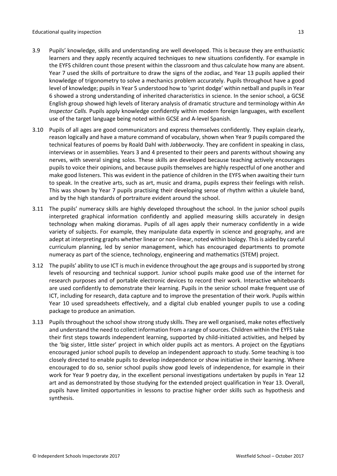- 3.9 Pupils' knowledge, skills and understanding are well developed. This is because they are enthusiastic learners and they apply recently acquired techniques to new situations confidently. For example in the EYFS children count those present within the classroom and thus calculate how many are absent. Year 7 used the skills of portraiture to draw the signs of the zodiac, and Year 13 pupils applied their knowledge of trigonometry to solve a mechanics problem accurately. Pupils throughout have a good level of knowledge; pupils in Year 5 understood how to 'sprint dodge' within netball and pupils in Year 6 showed a strong understanding of inherited characteristics in science. In the senior school, a GCSE English group showed high levels of literary analysis of dramatic structure and terminology within *An Inspector Calls.* Pupils apply knowledge confidently within modern foreign languages, with excellent use of the target language being noted within GCSE and A-level Spanish.
- 3.10 Pupils of all ages are good communicators and express themselves confidently. They explain clearly, reason logically and have a mature command of vocabulary, shown when Year 9 pupils compared the technical features of poems by Roald Dahl with *Jabberwocky*. They are confident in speaking in class, interviews or in assemblies. Years 3 and 4 presented to their peers and parents without showing any nerves, with several singing solos. These skills are developed because teaching actively encourages pupils to voice their opinions, and because pupils themselves are highly respectful of one another and make good listeners. This was evident in the patience of children in the EYFS when awaiting their turn to speak. In the creative arts, such as art, music and drama, pupils express their feelings with relish. This was shown by Year 7 pupils practising their developing sense of rhythm within a ukulele band, and by the high standards of portraiture evident around the school.
- 3.11 The pupils' numeracy skills are highly developed throughout the school. In the junior school pupils interpreted graphical information confidently and applied measuring skills accurately in design technology when making dioramas. Pupils of all ages apply their numeracy confidently in a wide variety of subjects. For example, they manipulate data expertly in science and geography, and are adept at interpreting graphs whether linear or non-linear, noted within biology. Thisis aided by careful curriculum planning, led by senior management, which has encouraged departments to promote numeracy as part of the science, technology, engineering and mathematics (STEM) project.
- 3.12 The pupils' ability to use ICT is much in evidence throughout the age groups and issupported by strong levels of resourcing and technical support. Junior school pupils make good use of the internet for research purposes and of portable electronic devices to record their work. Interactive whiteboards are used confidently to demonstrate their learning. Pupils in the senior school make frequent use of ICT, including for research, data capture and to improve the presentation of their work. Pupils within Year 10 used spreadsheets effectively, and a digital club enabled younger pupils to use a coding package to produce an animation.
- 3.13 Pupils throughout the school show strong study skills. They are well organised, make notes effectively and understand the need to collect information from a range of sources. Children within the EYFS take their first steps towards independent learning, supported by child-initiated activities, and helped by the 'big sister, little sister' project in which older pupils act as mentors. A project on the Egyptians encouraged junior school pupils to develop an independent approach to study. Some teaching is too closely directed to enable pupils to develop independence or show initiative in their learning. Where encouraged to do so, senior school pupils show good levels of independence, for example in their work for Year 9 poetry day, in the excellent personal investigations undertaken by pupils in Year 12 art and as demonstrated by those studying for the extended project qualification in Year 13. Overall, pupils have limited opportunities in lessons to practise higher order skills such as hypothesis and synthesis.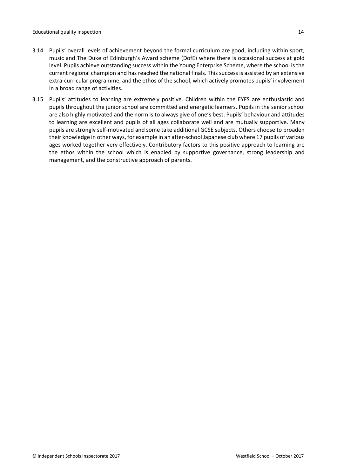- 3.14 Pupils' overall levels of achievement beyond the formal curriculum are good, including within sport, music and The Duke of Edinburgh's Award scheme (DofE) where there is occasional success at gold level. Pupils achieve outstanding success within the Young Enterprise Scheme, where the school is the current regional champion and has reached the national finals. This success is assisted by an extensive extra-curricular programme, and the ethos of the school, which actively promotes pupils' involvement in a broad range of activities.
- 3.15 Pupils' attitudes to learning are extremely positive. Children within the EYFS are enthusiastic and pupils throughout the junior school are committed and energetic learners. Pupils in the senior school are also highly motivated and the norm is to always give of one's best. Pupils' behaviour and attitudes to learning are excellent and pupils of all ages collaborate well and are mutually supportive. Many pupils are strongly self-motivated and some take additional GCSE subjects. Others choose to broaden their knowledge in other ways, for example in an after-school Japanese club where 17 pupils of various ages worked together very effectively. Contributory factors to this positive approach to learning are the ethos within the school which is enabled by supportive governance, strong leadership and management, and the constructive approach of parents.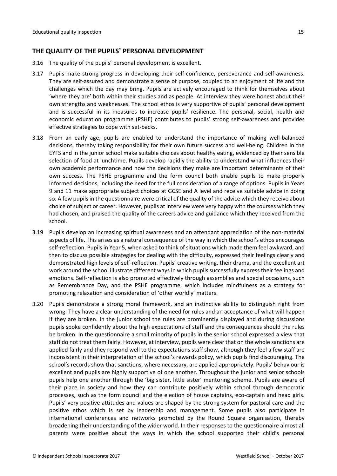## <span id="page-14-0"></span>**THE QUALITY OF THE PUPILS' PERSONAL DEVELOPMENT**

- 3.16 The quality of the pupils' personal development is excellent.
- 3.17 Pupils make strong progress in developing their self-confidence, perseverance and self-awareness. They are self-assured and demonstrate a sense of purpose, coupled to an enjoyment of life and the challenges which the day may bring. Pupils are actively encouraged to think for themselves about 'where they are' both within their studies and as people. At interview they were honest about their own strengths and weaknesses. The school ethos is very supportive of pupils' personal development and is successful in its measures to increase pupils' resilience. The personal, social, health and economic education programme (PSHE) contributes to pupils' strong self-awareness and provides effective strategies to cope with set-backs.
- 3.18 From an early age, pupils are enabled to understand the importance of making well-balanced decisions, thereby taking responsibility for their own future success and well-being. Children in the EYFS and in the junior school make suitable choices about healthy eating, evidenced by their sensible selection of food at lunchtime. Pupils develop rapidly the ability to understand what influences their own academic performance and how the decisions they make are important determinants of their own success. The PSHE programme and the form council both enable pupils to make properly informed decisions, including the need for the full consideration of a range of options. Pupils in Years 9 and 11 make appropriate subject choices at GCSE and A level and receive suitable advice in doing so. A few pupils in the questionnaire were critical of the quality of the advice which they receive about choice of subject or career. However, pupils at interview were very happy with the courses which they had chosen, and praised the quality of the careers advice and guidance which they received from the school.
- 3.19 Pupils develop an increasing spiritual awareness and an attendant appreciation of the non-material aspects of life. This arises as a natural consequence of the way in which the school's ethos encourages self-reflection. Pupils in Year 5, when asked to think of situations which made them feel awkward, and then to discuss possible strategies for dealing with the difficulty, expressed their feelings clearly and demonstrated high levels of self-reflection. Pupils' creative writing, their drama, and the excellent art work around the school illustrate different ways in which pupils successfully express their feelings and emotions. Self-reflection is also promoted effectively through assemblies and special occasions, such as Remembrance Day, and the PSHE programme, which includes mindfulness as a strategy for promoting relaxation and consideration of 'other worldly' matters.
- 3.20 Pupils demonstrate a strong moral framework, and an instinctive ability to distinguish right from wrong. They have a clear understanding of the need for rules and an acceptance of what will happen if they are broken. In the junior school the rules are prominently displayed and during discussions pupils spoke confidently about the high expectations of staff and the consequences should the rules be broken. In the questionnaire a small minority of pupils in the senior school expressed a view that staff do not treat them fairly. However, at interview, pupils were clear that on the whole sanctions are applied fairly and they respond well to the expectations staff show, although they feel a few staff are inconsistent in their interpretation of the school's rewards policy, which pupils find discouraging. The school's records show that sanctions, where necessary, are applied appropriately. Pupils' behaviour is excellent and pupils are highly supportive of one another. Throughout the junior and senior schools pupils help one another through the 'big sister, little sister' mentoring scheme. Pupils are aware of their place in society and how they can contribute positively within school through democratic processes, such as the form council and the election of house captains, eco-captain and head girls. Pupils' very positive attitudes and values are shaped by the strong system for pastoral care and the positive ethos which is set by leadership and management. Some pupils also participate in international conferences and networks promoted by the Round Square organisation, thereby broadening their understanding of the wider world. In their responses to the questionnaire almost all parents were positive about the ways in which the school supported their child's personal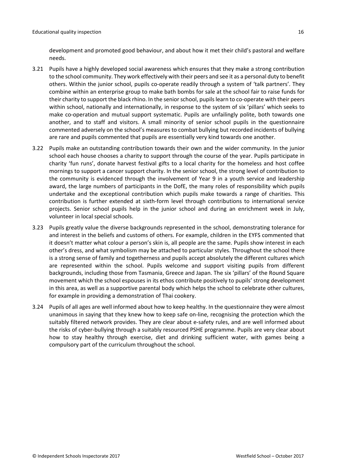development and promoted good behaviour, and about how it met their child's pastoral and welfare needs.

- 3.21 Pupils have a highly developed social awareness which ensures that they make a strong contribution to the school community. They work effectively with their peers and see it as a personal duty to benefit others. Within the junior school, pupils co-operate readily through a system of 'talk partners'. They combine within an enterprise group to make bath bombs for sale at the school fair to raise funds for their charity to support the black rhino. In the senior school, pupils learn to co-operate with their peers within school, nationally and internationally, in response to the system of six 'pillars' which seeks to make co-operation and mutual support systematic. Pupils are unfailingly polite, both towards one another, and to staff and visitors. A small minority of senior school pupils in the questionnaire commented adversely on the school's measures to combat bullying but recorded incidents of bullying are rare and pupils commented that pupils are essentially very kind towards one another.
- 3.22 Pupils make an outstanding contribution towards their own and the wider community. In the junior school each house chooses a charity to support through the course of the year. Pupils participate in charity 'fun runs', donate harvest festival gifts to a local charity for the homeless and host coffee mornings to support a cancer support charity. In the senior school, the strong level of contribution to the community is evidenced through the involvement of Year 9 in a youth service and leadership award, the large numbers of participants in the DofE, the many roles of responsibility which pupils undertake and the exceptional contribution which pupils make towards a range of charities. This contribution is further extended at sixth-form level through contributions to international service projects. Senior school pupils help in the junior school and during an enrichment week in July, volunteer in local special schools.
- 3.23 Pupils greatly value the diverse backgrounds represented in the school, demonstrating tolerance for and interest in the beliefs and customs of others. For example, children in the EYFS commented that it doesn't matter what colour a person's skin is, all people are the same. Pupils show interest in each other's dress, and what symbolism may be attached to particular styles. Throughout the school there is a strong sense of family and togetherness and pupils accept absolutely the different cultures which are represented within the school. Pupils welcome and support visiting pupils from different backgrounds, including those from Tasmania, Greece and Japan. The six 'pillars' of the Round Square movement which the school espouses in its ethos contribute positively to pupils' strong development in this area, as well as a supportive parental body which helps the school to celebrate other cultures, for example in providing a demonstration of Thai cookery.
- 3.24 Pupils of all ages are well informed about how to keep healthy. In the questionnaire they were almost unanimous in saying that they knew how to keep safe on-line, recognising the protection which the suitably filtered network provides. They are clear about e-safety rules, and are well informed about the risks of cyber-bullying through a suitably resourced PSHE programme. Pupils are very clear about how to stay healthy through exercise, diet and drinking sufficient water, with games being a compulsory part of the curriculum throughout the school.